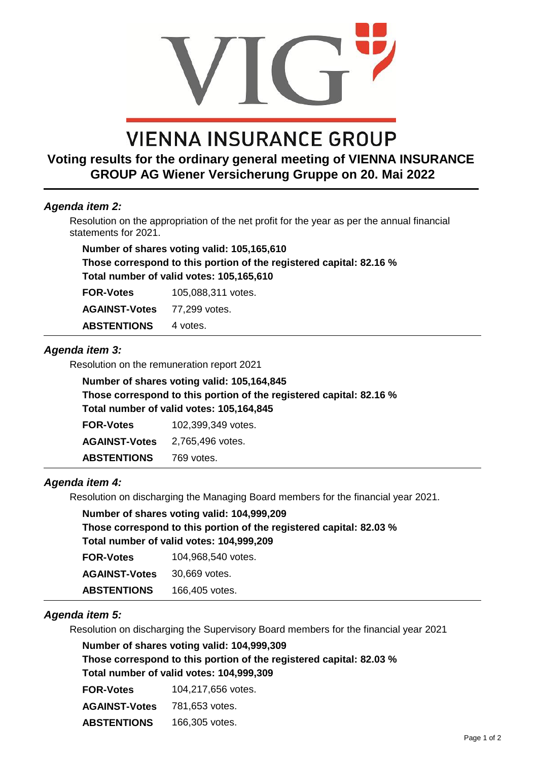# **VIENNA INSURANCE GROUP**

## **Voting results for the ordinary general meeting of VIENNA INSURANCE GROUP AG Wiener Versicherung Gruppe on 20. Mai 2022**

#### *Agenda item 2:*

Resolution on the appropriation of the net profit for the year as per the annual financial statements for 2021.

**Number of shares voting valid: 105,165,610 Those correspond to this portion of the registered capital: 82.16 % Total number of valid votes: 105,165,610**

**FOR-Votes** 105,088,311 votes.

**AGAINST-Votes** 77,299 votes.

ABSTENTIONS 4 votes.

#### *Agenda item 3:*

 Resolution on the remuneration report 2021

| Number of shares voting valid: 105,164,845                          |
|---------------------------------------------------------------------|
| Those correspond to this portion of the registered capital: 82.16 % |
| Total number of valid votes: 105,164,845                            |

| <b>FOR-Votes</b>     | 102,399,349 votes. |
|----------------------|--------------------|
| <b>AGAINST-Votes</b> | 2.765.496 votes.   |
| <b>ABSTENTIONS</b>   | 769 votes.         |

#### *Agenda item 4:*

 Resolution on discharging the Managing Board members for the financial year 2021.

| Number of shares voting valid: 104,999,209                          |
|---------------------------------------------------------------------|
| Those correspond to this portion of the registered capital: 82.03 % |
| Total number of valid votes: 104,999,209                            |

| <b>FOR-Votes</b>     | 104,968,540 votes. |
|----------------------|--------------------|
| <b>AGAINST-Votes</b> | 30.669 votes.      |
| <b>ABSTENTIONS</b>   | 166,405 votes.     |

#### *Agenda item 5:*

Resolution on discharging the Supervisory Board members for the financial year 2021

**Number of shares voting valid: 104,999,309**

**Those correspond to this portion of the registered capital: 82.03 % Total number of valid votes: 104,999,309**

| <b>FOR-Votes</b>     | 104,217,656 votes. |
|----------------------|--------------------|
| <b>AGAINST-Votes</b> | 781.653 votes.     |
| <b>ABSTENTIONS</b>   | 166,305 votes.     |